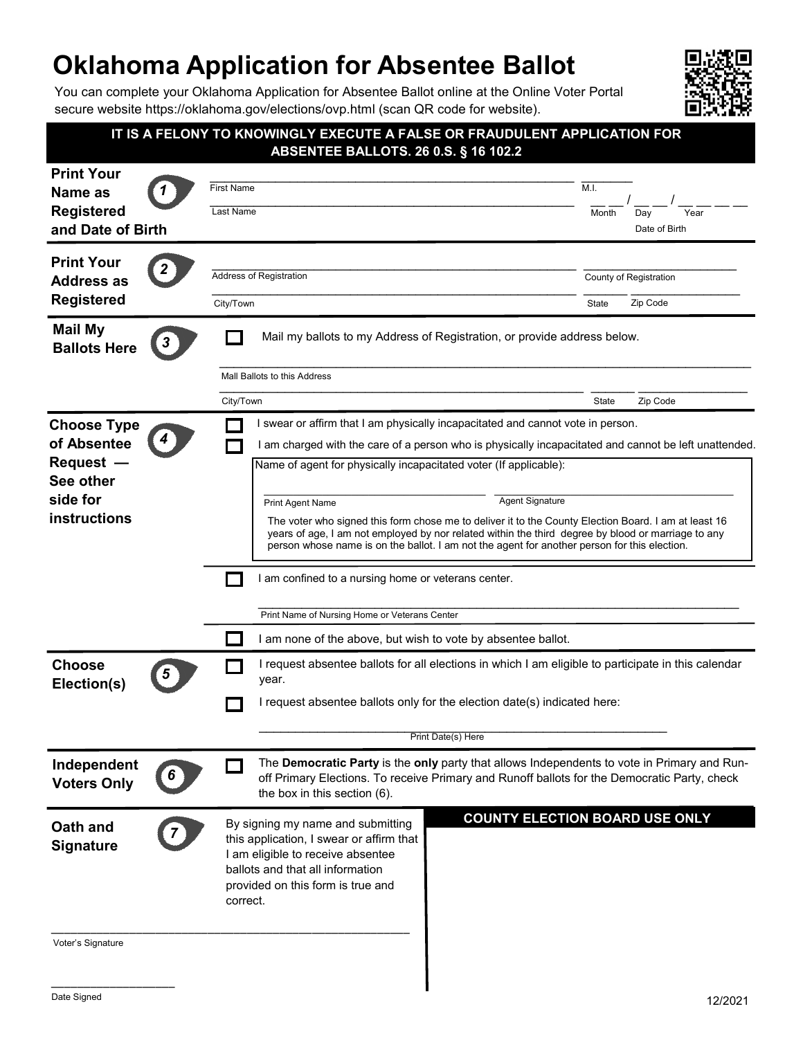## **Oklahoma Application for Absentee Ballot**

You can complete your Oklahoma Application for Absentee Ballot online at the Online Voter Portal secure website https://oklahoma.gov/elections/ovp.html (scan QR code for website).



|                                                                                         |                                                                                                                                                                                                                                                                                                            | IT IS A FELONY TO KNOWINGLY EXECUTE A FALSE OR FRAUDULENT APPLICATION FOR<br><b>ABSENTEE BALLOTS. 26 0.S. § 16 102.2</b>                                                                                                    |  |               |                                    |
|-----------------------------------------------------------------------------------------|------------------------------------------------------------------------------------------------------------------------------------------------------------------------------------------------------------------------------------------------------------------------------------------------------------|-----------------------------------------------------------------------------------------------------------------------------------------------------------------------------------------------------------------------------|--|---------------|------------------------------------|
| <b>Print Your</b><br>Name as<br><b>Registered</b><br>and Date of Birth                  | <b>First Name</b><br><b>Last Name</b>                                                                                                                                                                                                                                                                      |                                                                                                                                                                                                                             |  | M.I.<br>Month | Day<br>Year<br>Date of Birth       |
| <b>Print Your</b><br><b>Address as</b><br><b>Registered</b>                             | <b>Address of Registration</b><br>City/Town                                                                                                                                                                                                                                                                |                                                                                                                                                                                                                             |  | State         | County of Registration<br>Zip Code |
| <b>Mail My</b><br><b>Ballots Here</b>                                                   | Mail my ballots to my Address of Registration, or provide address below.<br>Mall Ballots to this Address                                                                                                                                                                                                   |                                                                                                                                                                                                                             |  |               |                                    |
|                                                                                         | City/Town                                                                                                                                                                                                                                                                                                  |                                                                                                                                                                                                                             |  | State         | Zip Code                           |
| <b>Choose Type</b><br>of Absentee<br>Request -<br>See other<br>side for<br>instructions |                                                                                                                                                                                                                                                                                                            | I swear or affirm that I am physically incapacitated and cannot vote in person.                                                                                                                                             |  |               |                                    |
|                                                                                         |                                                                                                                                                                                                                                                                                                            | I am charged with the care of a person who is physically incapacitated and cannot be left unattended.                                                                                                                       |  |               |                                    |
|                                                                                         |                                                                                                                                                                                                                                                                                                            | Name of agent for physically incapacitated voter (If applicable):                                                                                                                                                           |  |               |                                    |
|                                                                                         |                                                                                                                                                                                                                                                                                                            | <b>Agent Signature</b><br>Print Agent Name                                                                                                                                                                                  |  |               |                                    |
|                                                                                         | The voter who signed this form chose me to deliver it to the County Election Board. I am at least 16<br>years of age, I am not employed by nor related within the third degree by blood or marriage to any<br>person whose name is on the ballot. I am not the agent for another person for this election. |                                                                                                                                                                                                                             |  |               |                                    |
|                                                                                         |                                                                                                                                                                                                                                                                                                            | I am confined to a nursing home or veterans center.                                                                                                                                                                         |  |               |                                    |
|                                                                                         |                                                                                                                                                                                                                                                                                                            | Print Name of Nursing Home or Veterans Center                                                                                                                                                                               |  |               |                                    |
|                                                                                         |                                                                                                                                                                                                                                                                                                            | I am none of the above, but wish to vote by absentee ballot.                                                                                                                                                                |  |               |                                    |
| <b>Choose</b><br>Election(s)                                                            |                                                                                                                                                                                                                                                                                                            | I request absentee ballots for all elections in which I am eligible to participate in this calendar<br>year.                                                                                                                |  |               |                                    |
|                                                                                         |                                                                                                                                                                                                                                                                                                            | request absentee ballots only for the election date(s) indicated here:                                                                                                                                                      |  |               |                                    |
|                                                                                         | Print Date(s) Here                                                                                                                                                                                                                                                                                         |                                                                                                                                                                                                                             |  |               |                                    |
| Independent<br><b>Voters Only</b>                                                       |                                                                                                                                                                                                                                                                                                            | The Democratic Party is the only party that allows Independents to vote in Primary and Run-<br>off Primary Elections. To receive Primary and Runoff ballots for the Democratic Party, check<br>the box in this section (6). |  |               |                                    |
| Oath and<br><b>Signature</b>                                                            | <b>COUNTY ELECTION BOARD USE ONLY</b><br>By signing my name and submitting<br>this application, I swear or affirm that<br>I am eligible to receive absentee<br>ballots and that all information<br>provided on this form is true and<br>correct.                                                           |                                                                                                                                                                                                                             |  |               |                                    |
| Voter's Signature                                                                       |                                                                                                                                                                                                                                                                                                            |                                                                                                                                                                                                                             |  |               |                                    |

\_\_\_\_\_\_\_\_\_\_\_\_\_\_\_\_\_\_\_